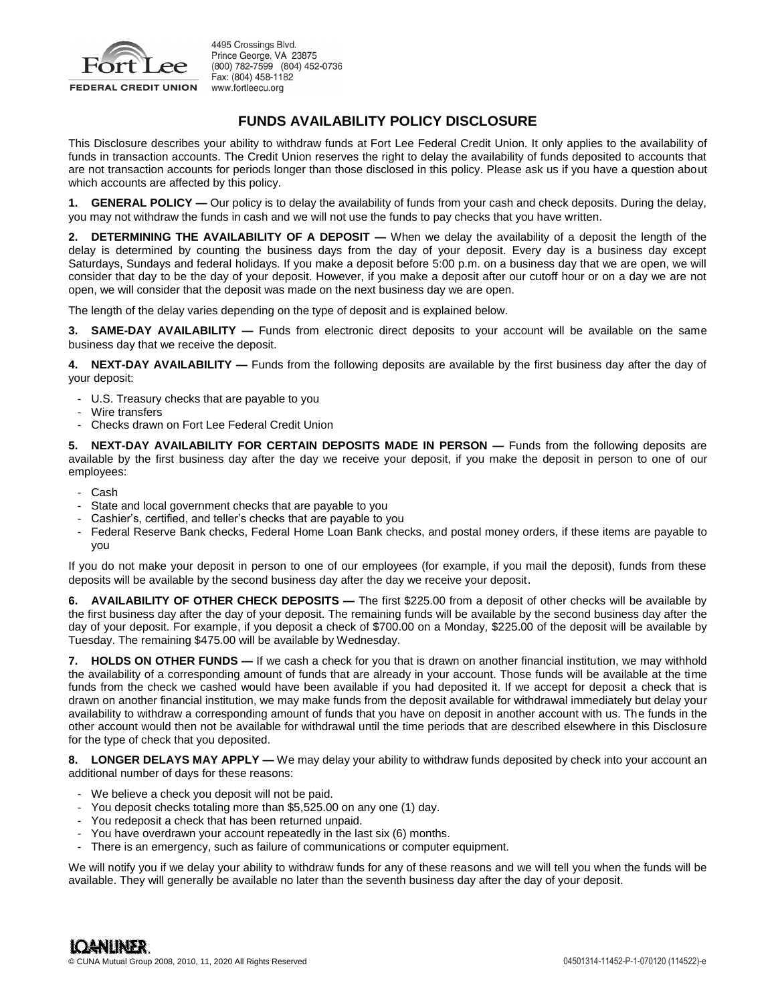

4495 Crossings Blvd. Prince George, VA 23875 (800) 782-7599 (804) 452-0736 Fax: (804) 458-1182 www.fortleecu.org

## **FUNDS AVAILABILITY POLICY DISCLOSURE**

This Disclosure describes your ability to withdraw funds at Fort Lee Federal Credit Union. It only applies to the availability of funds in transaction accounts. The Credit Union reserves the right to delay the availability of funds deposited to accounts that are not transaction accounts for periods longer than those disclosed in this policy. Please ask us if you have a question about which accounts are affected by this policy.

**1. GENERAL POLICY —** Our policy is to delay the availability of funds from your cash and check deposits. During the delay, you may not withdraw the funds in cash and we will not use the funds to pay checks that you have written.

**2. DETERMINING THE AVAILABILITY OF A DEPOSIT — When we delay the availability of a deposit the length of the** delay is determined by counting the business days from the day of your deposit. Every day is a business day except Saturdays, Sundays and federal holidays. If you make a deposit before 5:00 p.m. on a business day that we are open, we will consider that day to be the day of your deposit. However, if you make a deposit after our cutoff hour or on a day we are not open, we will consider that the deposit was made on the next business day we are open.

The length of the delay varies depending on the type of deposit and is explained below.

**3. SAME-DAY AVAILABILITY —** Funds from electronic direct deposits to your account will be available on the same business day that we receive the deposit.

**4. NEXT-DAY AVAILABILITY —** Funds from the following deposits are available by the first business day after the day of your deposit:

- U.S. Treasury checks that are payable to you
- Wire transfers
- Checks drawn on Fort Lee Federal Credit Union

**5. NEXT-DAY AVAILABILITY FOR CERTAIN DEPOSITS MADE IN PERSON — Funds from the following deposits are** available by the first business day after the day we receive your deposit, if you make the deposit in person to one of our employees:

- Cash
- State and local government checks that are payable to you
- Cashier's, certified, and teller's checks that are payable to you
- Federal Reserve Bank checks, Federal Home Loan Bank checks, and postal money orders, if these items are payable to you

If you do not make your deposit in person to one of our employees (for example, if you mail the deposit), funds from these deposits will be available by the second business day after the day we receive your deposit.

**6. AVAILABILITY OF OTHER CHECK DEPOSITS —** The first \$225.00 from a deposit of other checks will be available by the first business day after the day of your deposit. The remaining funds will be available by the second business day after the day of your deposit. For example, if you deposit a check of \$700.00 on a Monday, \$225.00 of the deposit will be available by Tuesday. The remaining \$475.00 will be available by Wednesday.

**7. HOLDS ON OTHER FUNDS —** If we cash a check for you that is drawn on another financial institution, we may withhold the availability of a corresponding amount of funds that are already in your account. Those funds will be available at the time funds from the check we cashed would have been available if you had deposited it. If we accept for deposit a check that is drawn on another financial institution, we may make funds from the deposit available for withdrawal immediately but delay your availability to withdraw a corresponding amount of funds that you have on deposit in another account with us. The funds in the other account would then not be available for withdrawal until the time periods that are described elsewhere in this Disclosure for the type of check that you deposited.

**8. LONGER DELAYS MAY APPLY —** We may delay your ability to withdraw funds deposited by check into your account an additional number of days for these reasons:

- We believe a check you deposit will not be paid.
- You deposit checks totaling more than \$5,525.00 on any one (1) day.
- You redeposit a check that has been returned unpaid.
- You have overdrawn your account repeatedly in the last six (6) months.
- There is an emergency, such as failure of communications or computer equipment.

We will notify you if we delay your ability to withdraw funds for any of these reasons and we will tell you when the funds will be available. They will generally be available no later than the seventh business day after the day of your deposit.